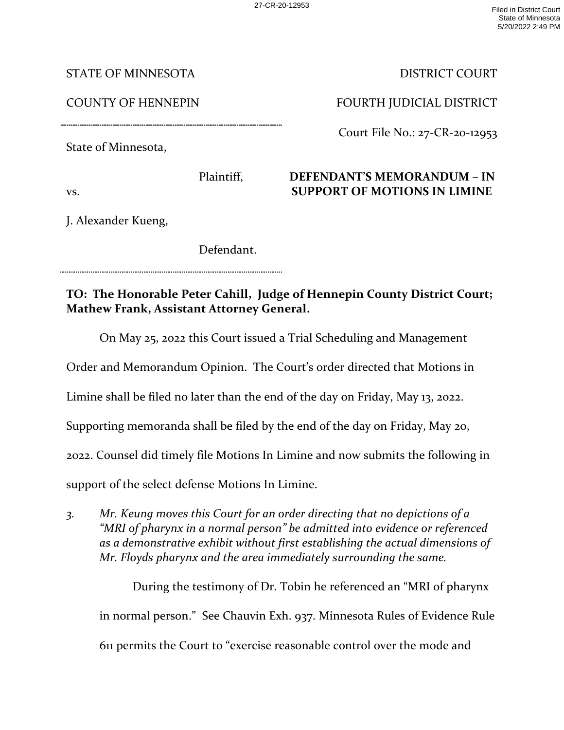STATE OF MINNESOTA

COUNTY OF HENNEPIN

DISTRICT COURT

FOURTH JUDICIAL DISTRICT

Court File No.: 27-CR-20-12953

## **DEFENDANT'S MEMORANDUM – IN SUPPORT OF MOTIONS IN LIMINE**

vs.

J. Alexander Kueng,

State of Minnesota,

Defendant.

Plaintiff,

**TO: The Honorable Peter Cahill, Judge of Hennepin County District Court; Mathew Frank, Assistant Attorney General.** 

On May 25, 2022 this Court issued a Trial Scheduling and Management

Order and Memorandum Opinion. The Court's order directed that Motions in

Limine shall be filed no later than the end of the day on Friday, May 13, 2022.

Supporting memoranda shall be filed by the end of the day on Friday, May 20,

2022. Counsel did timely file Motions In Limine and now submits the following in

support of the select defense Motions In Limine.

*3. Mr. Keung moves this Court for an order directing that no depictions of a "MRI of pharynx in a normal person" be admitted into evidence or referenced as a demonstrative exhibit without first establishing the actual dimensions of Mr. Floyds pharynx and the area immediately surrounding the same.* 

 During the testimony of Dr. Tobin he referenced an "MRI of pharynx in normal person." See Chauvin Exh. 937. Minnesota Rules of Evidence Rule 611 permits the Court to "exercise reasonable control over the mode and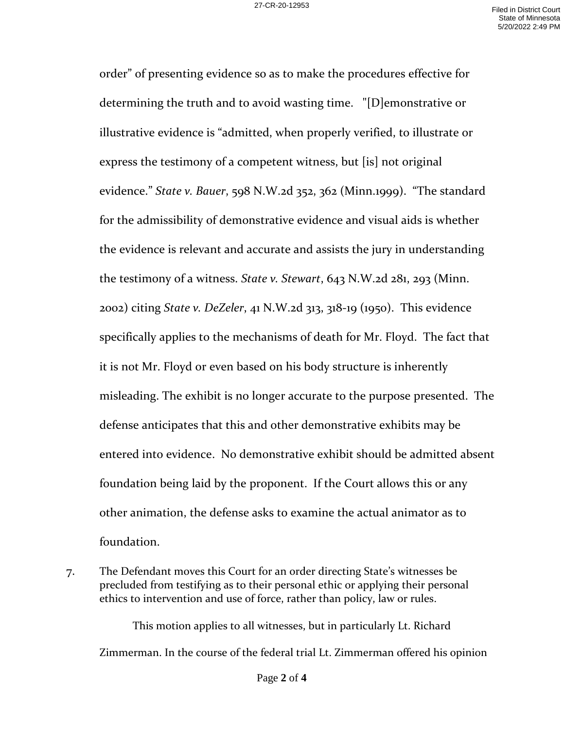order" of presenting evidence so as to make the procedures effective for determining the truth and to avoid wasting time. "[D]emonstrative or illustrative evidence is "admitted, when properly verified, to illustrate or express the testimony of a competent witness, but [is] not original evidence." *State v. Bauer*, 598 N.W.2d 352, 362 (Minn.1999). "The standard for the admissibility of demonstrative evidence and visual aids is whether the evidence is relevant and accurate and assists the jury in understanding the testimony of a witness. *State v. Stewart*, 643 N.W.2d 281, 293 (Minn. 2002) citing *State v. DeZeler*, 41 N.W.2d 313, 318-19 (1950). This evidence specifically applies to the mechanisms of death for Mr. Floyd. The fact that it is not Mr. Floyd or even based on his body structure is inherently misleading. The exhibit is no longer accurate to the purpose presented. The defense anticipates that this and other demonstrative exhibits may be entered into evidence. No demonstrative exhibit should be admitted absent foundation being laid by the proponent. If the Court allows this or any other animation, the defense asks to examine the actual animator as to foundation.

7. The Defendant moves this Court for an order directing State's witnesses be precluded from testifying as to their personal ethic or applying their personal ethics to intervention and use of force, rather than policy, law or rules.

This motion applies to all witnesses, but in particularly Lt. Richard Zimmerman. In the course of the federal trial Lt. Zimmerman offered his opinion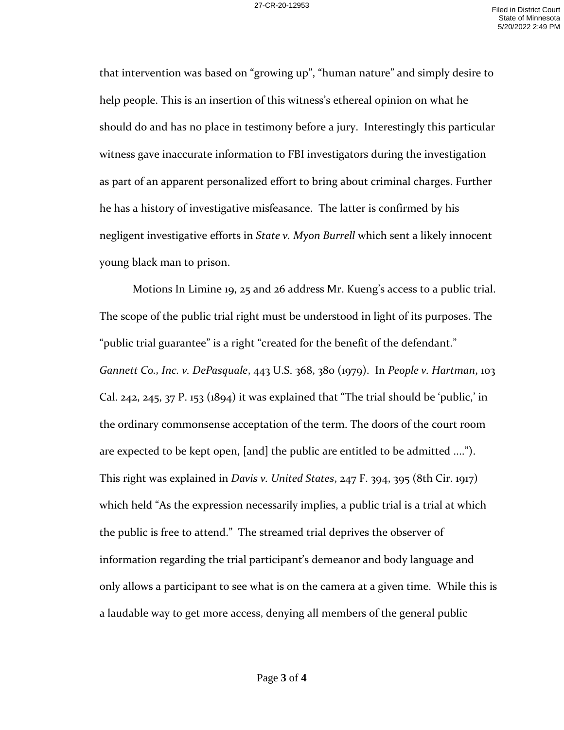that intervention was based on "growing up", "human nature" and simply desire to help people. This is an insertion of this witness's ethereal opinion on what he should do and has no place in testimony before a jury. Interestingly this particular witness gave inaccurate information to FBI investigators during the investigation as part of an apparent personalized effort to bring about criminal charges. Further he has a history of investigative misfeasance. The latter is confirmed by his negligent investigative efforts in *State v. Myon Burrell* which sent a likely innocent young black man to prison.

Motions In Limine 19, 25 and 26 address Mr. Kueng's access to a public trial. The scope of the public trial right must be understood in light of its purposes. The "public trial guarantee" is a right "created for the benefit of the defendant." *Gannett Co., Inc. v. DePasquale*, 443 U.S. 368, 380 (1979). In *People v. Hartman*, 103 Cal. 242, 245, 37 P. 153 (1894) it was explained that "The trial should be 'public,' in the ordinary commonsense acceptation of the term. The doors of the court room are expected to be kept open, [and] the public are entitled to be admitted ...."). This right was explained in *Davis v. United States*, 247 F. 394, 395 (8th Cir. 1917) which held "As the expression necessarily implies, a public trial is a trial at which the public is free to attend." The streamed trial deprives the observer of information regarding the trial participant's demeanor and body language and only allows a participant to see what is on the camera at a given time. While this is a laudable way to get more access, denying all members of the general public